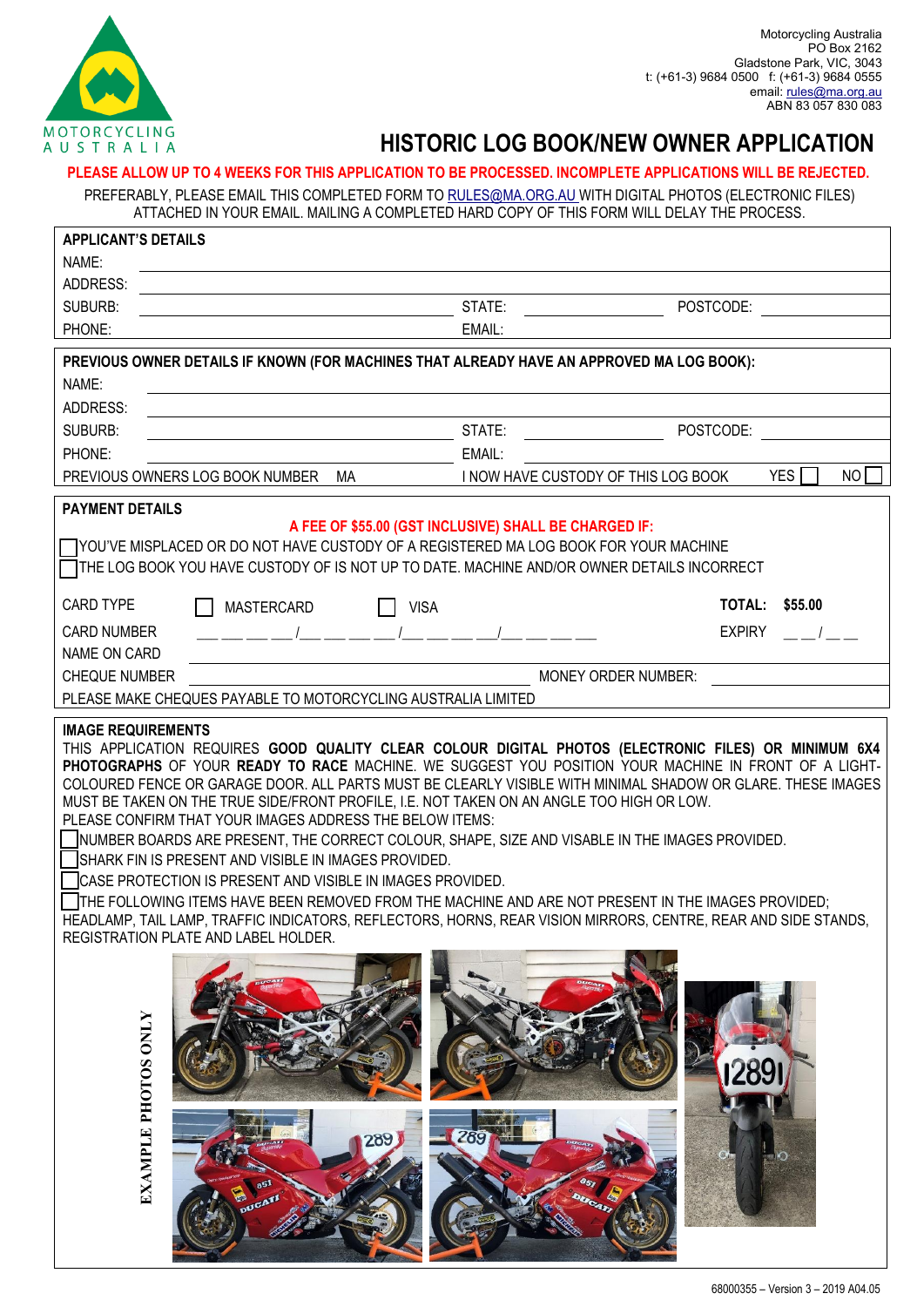

# MOTORCYCLING<br>AU STRALIA **HISTORIC LOG BOOK/NEW OWNER APPLICATION**

**PLEASE ALLOW UP TO 4 WEEKS FOR THIS APPLICATION TO BE PROCESSED. INCOMPLETE APPLICATIONS WILL BE REJECTED.**

PREFERABLY, PLEASE EMAIL THIS COMPLETED FORM TO RULES@MA.ORG.AU WITH DIGITAL PHOTOS (ELECTRONIC FILES) ATTACHED IN YOUR EMAIL. MAILING A COMPLETED HARD COPY OF THIS FORM WILL DELAY THE PROCESS.

|                            | ATTAURED IN TUUR EMAIL. MAILING A UUMPLETED HARD UUPT UF THIS FURM WILL DELAT THE PRUUESS.                                                                                                                                                                                                                                                                                                                                                                                                                                                                                                                                                                                                                                                                                                                                                                                                                                                                                   |                                                       |                                     |                       |    |
|----------------------------|------------------------------------------------------------------------------------------------------------------------------------------------------------------------------------------------------------------------------------------------------------------------------------------------------------------------------------------------------------------------------------------------------------------------------------------------------------------------------------------------------------------------------------------------------------------------------------------------------------------------------------------------------------------------------------------------------------------------------------------------------------------------------------------------------------------------------------------------------------------------------------------------------------------------------------------------------------------------------|-------------------------------------------------------|-------------------------------------|-----------------------|----|
| <b>APPLICANT'S DETAILS</b> |                                                                                                                                                                                                                                                                                                                                                                                                                                                                                                                                                                                                                                                                                                                                                                                                                                                                                                                                                                              |                                                       |                                     |                       |    |
| NAME:                      |                                                                                                                                                                                                                                                                                                                                                                                                                                                                                                                                                                                                                                                                                                                                                                                                                                                                                                                                                                              |                                                       |                                     |                       |    |
| ADDRESS:                   |                                                                                                                                                                                                                                                                                                                                                                                                                                                                                                                                                                                                                                                                                                                                                                                                                                                                                                                                                                              |                                                       |                                     |                       |    |
| SUBURB:                    |                                                                                                                                                                                                                                                                                                                                                                                                                                                                                                                                                                                                                                                                                                                                                                                                                                                                                                                                                                              | STATE:                                                | POSTCODE:                           |                       |    |
| PHONE:                     |                                                                                                                                                                                                                                                                                                                                                                                                                                                                                                                                                                                                                                                                                                                                                                                                                                                                                                                                                                              | EMAIL:                                                |                                     |                       |    |
|                            | PREVIOUS OWNER DETAILS IF KNOWN (FOR MACHINES THAT ALREADY HAVE AN APPROVED MA LOG BOOK):                                                                                                                                                                                                                                                                                                                                                                                                                                                                                                                                                                                                                                                                                                                                                                                                                                                                                    |                                                       |                                     |                       |    |
| NAME:                      |                                                                                                                                                                                                                                                                                                                                                                                                                                                                                                                                                                                                                                                                                                                                                                                                                                                                                                                                                                              |                                                       |                                     |                       |    |
| <b>ADDRESS:</b>            |                                                                                                                                                                                                                                                                                                                                                                                                                                                                                                                                                                                                                                                                                                                                                                                                                                                                                                                                                                              |                                                       |                                     |                       |    |
| SUBURB:                    |                                                                                                                                                                                                                                                                                                                                                                                                                                                                                                                                                                                                                                                                                                                                                                                                                                                                                                                                                                              | STATE:                                                | POSTCODE:                           |                       |    |
| PHONE:                     |                                                                                                                                                                                                                                                                                                                                                                                                                                                                                                                                                                                                                                                                                                                                                                                                                                                                                                                                                                              | EMAIL:                                                |                                     |                       |    |
|                            | PREVIOUS OWNERS LOG BOOK NUMBER MA                                                                                                                                                                                                                                                                                                                                                                                                                                                                                                                                                                                                                                                                                                                                                                                                                                                                                                                                           |                                                       | I NOW HAVE CUSTODY OF THIS LOG BOOK | YES <sup>I</sup>      | NO |
|                            |                                                                                                                                                                                                                                                                                                                                                                                                                                                                                                                                                                                                                                                                                                                                                                                                                                                                                                                                                                              |                                                       |                                     |                       |    |
| <b>PAYMENT DETAILS</b>     |                                                                                                                                                                                                                                                                                                                                                                                                                                                                                                                                                                                                                                                                                                                                                                                                                                                                                                                                                                              |                                                       |                                     |                       |    |
|                            |                                                                                                                                                                                                                                                                                                                                                                                                                                                                                                                                                                                                                                                                                                                                                                                                                                                                                                                                                                              | A FEE OF \$55.00 (GST INCLUSIVE) SHALL BE CHARGED IF: |                                     |                       |    |
|                            | ◯ YOU'VE MISPLACED OR DO NOT HAVE CUSTODY OF A REGISTERED MA LOG BOOK FOR YOUR MACHINE<br>$\Box$ THE LOG BOOK YOU HAVE CUSTODY OF IS NOT UP TO DATE. MACHINE AND/OR OWNER DETAILS INCORRECT                                                                                                                                                                                                                                                                                                                                                                                                                                                                                                                                                                                                                                                                                                                                                                                  |                                                       |                                     |                       |    |
|                            |                                                                                                                                                                                                                                                                                                                                                                                                                                                                                                                                                                                                                                                                                                                                                                                                                                                                                                                                                                              |                                                       |                                     |                       |    |
| CARD TYPE                  | <b>MASTERCARD</b>                                                                                                                                                                                                                                                                                                                                                                                                                                                                                                                                                                                                                                                                                                                                                                                                                                                                                                                                                            | <b>VISA</b>                                           |                                     | <b>TOTAL: \$55.00</b> |    |
| <b>CARD NUMBER</b>         |                                                                                                                                                                                                                                                                                                                                                                                                                                                                                                                                                                                                                                                                                                                                                                                                                                                                                                                                                                              |                                                       | <b>EXPIRY</b>                       |                       |    |
| NAME ON CARD               |                                                                                                                                                                                                                                                                                                                                                                                                                                                                                                                                                                                                                                                                                                                                                                                                                                                                                                                                                                              |                                                       |                                     |                       |    |
| <b>CHEQUE NUMBER</b>       |                                                                                                                                                                                                                                                                                                                                                                                                                                                                                                                                                                                                                                                                                                                                                                                                                                                                                                                                                                              |                                                       | <b>MONEY ORDER NUMBER:</b>          |                       |    |
|                            | PLEASE MAKE CHEQUES PAYABLE TO MOTORCYCLING AUSTRALIA LIMITED                                                                                                                                                                                                                                                                                                                                                                                                                                                                                                                                                                                                                                                                                                                                                                                                                                                                                                                |                                                       |                                     |                       |    |
|                            |                                                                                                                                                                                                                                                                                                                                                                                                                                                                                                                                                                                                                                                                                                                                                                                                                                                                                                                                                                              |                                                       |                                     |                       |    |
| <b>IMAGE REQUIREMENTS</b>  | THIS APPLICATION REQUIRES GOOD QUALITY CLEAR COLOUR DIGITAL PHOTOS (ELECTRONIC FILES) OR MINIMUM 6X4<br>PHOTOGRAPHS OF YOUR READY TO RACE MACHINE. WE SUGGEST YOU POSITION YOUR MACHINE IN FRONT OF A LIGHT-<br>COLOURED FENCE OR GARAGE DOOR. ALL PARTS MUST BE CLEARLY VISIBLE WITH MINIMAL SHADOW OR GLARE. THESE IMAGES<br>MUST BE TAKEN ON THE TRUE SIDE/FRONT PROFILE, I.E. NOT TAKEN ON AN ANGLE TOO HIGH OR LOW.<br>PLEASE CONFIRM THAT YOUR IMAGES ADDRESS THE BELOW ITEMS:<br>NUMBER BOARDS ARE PRESENT, THE CORRECT COLOUR, SHAPE, SIZE AND VISABLE IN THE IMAGES PROVIDED.<br>SHARK FIN IS PRESENT AND VISIBLE IN IMAGES PROVIDED.<br>CASE PROTECTION IS PRESENT AND VISIBLE IN IMAGES PROVIDED.<br>THE FOLLOWING ITEMS HAVE BEEN REMOVED FROM THE MACHINE AND ARE NOT PRESENT IN THE IMAGES PROVIDED;<br>HEADLAMP, TAIL LAMP, TRAFFIC INDICATORS, REFLECTORS, HORNS, REAR VISION MIRRORS, CENTRE, REAR AND SIDE STANDS,<br>REGISTRATION PLATE AND LABEL HOLDER. |                                                       |                                     |                       |    |
| <b>EXAMPLE PHOTOS ONLY</b> |                                                                                                                                                                                                                                                                                                                                                                                                                                                                                                                                                                                                                                                                                                                                                                                                                                                                                                                                                                              | 289<br>289                                            |                                     |                       |    |

**College A MARIN**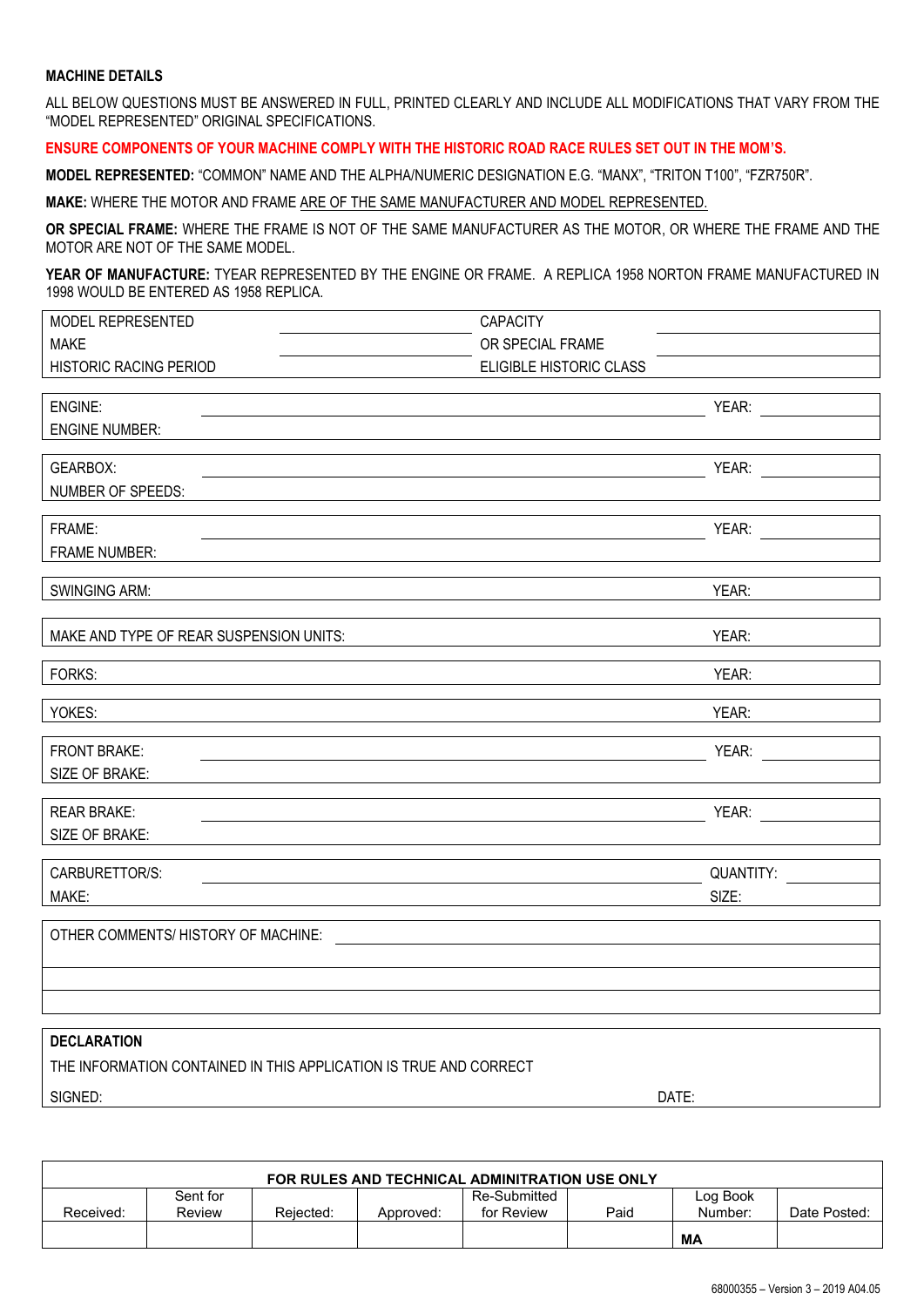#### **MACHINE DETAILS**

ALL BELOW QUESTIONS MUST BE ANSWERED IN FULL, PRINTED CLEARLY AND INCLUDE ALL MODIFICATIONS THAT VARY FROM THE "MODEL REPRESENTED" ORIGINAL SPECIFICATIONS.

#### **ENSURE COMPONENTS OF YOUR MACHINE COMPLY WITH THE HISTORIC ROAD RACE RULES SET OUT IN THE MOM'S.**

**MODEL REPRESENTED:** "COMMON" NAME AND THE ALPHA/NUMERIC DESIGNATION E.G. "MANX", "TRITON T100", "FZR750R".

**MAKE:** WHERE THE MOTOR AND FRAME ARE OF THE SAME MANUFACTURER AND MODEL REPRESENTED.

**OR SPECIAL FRAME:** WHERE THE FRAME IS NOT OF THE SAME MANUFACTURER AS THE MOTOR, OR WHERE THE FRAME AND THE MOTOR ARE NOT OF THE SAME MODEL.

**YEAR OF MANUFACTURE:** TYEAR REPRESENTED BY THE ENGINE OR FRAME. A REPLICA 1958 NORTON FRAME MANUFACTURED IN 1998 WOULD BE ENTERED AS 1958 REPLICA.

| MODEL REPRESENTED      | <b>CAPACITY</b>         |       |  |
|------------------------|-------------------------|-------|--|
| <b>MAKE</b>            | OR SPECIAL FRAME        |       |  |
| HISTORIC RACING PERIOD | ELIGIBLE HISTORIC CLASS |       |  |
|                        |                         |       |  |
| ENGINE:                |                         | YEAR: |  |
|                        |                         |       |  |

ENGINE NUMBER:

GEARBOX: YEAR: NUMBER OF SPEEDS:

FRAME: YEAR:

FRAME NUMBER:

SWINGING ARM: YEAR: YEAR: YEAR: YEAR: YEAR: YEAR: YEAR: YEAR: YEAR: YEAR: YEAR: YEAR: YEAR: YEAR: YEAR: YEAR: YEAR: YEAR: YEAR: YEAR: YEAR: YEAR: YEAR: YEAR: YEAR: YEAR: YEAR: YEAR: YEAR: YEAR: YEAR: YEAR: YEAR: YEAR: YEAR

| MAKE AND TYPE OF REAR SUSPENSION UNITS: | YEAR:     |  |  |
|-----------------------------------------|-----------|--|--|
| FORKS:                                  | YEAR:     |  |  |
| YOKES:                                  | YEAR:     |  |  |
| <b>FRONT BRAKE:</b>                     | YEAR:     |  |  |
| SIZE OF BRAKE:                          |           |  |  |
| <b>REAR BRAKE:</b>                      | YEAR:     |  |  |
| SIZE OF BRAKE:                          |           |  |  |
| CARBURETTOR/S:                          | QUANTITY: |  |  |
| MAKE:                                   | SIZE:     |  |  |

OTHER COMMENTS/ HISTORY OF MACHINE:

#### **DECLARATION**

THE INFORMATION CONTAINED IN THIS APPLICATION IS TRUE AND CORRECT

SIGNED: DATE:

| FOR RULES AND TECHNICAL ADMINITRATION USE ONLY |          |           |           |              |      |          |              |
|------------------------------------------------|----------|-----------|-----------|--------------|------|----------|--------------|
|                                                | Sent for |           |           | Re-Submitted |      | Log Book |              |
| Received:                                      | Review   | Reiected: | Approved: | for Review   | Paid | Number:  | Date Posted: |
|                                                |          |           |           |              |      | МA       |              |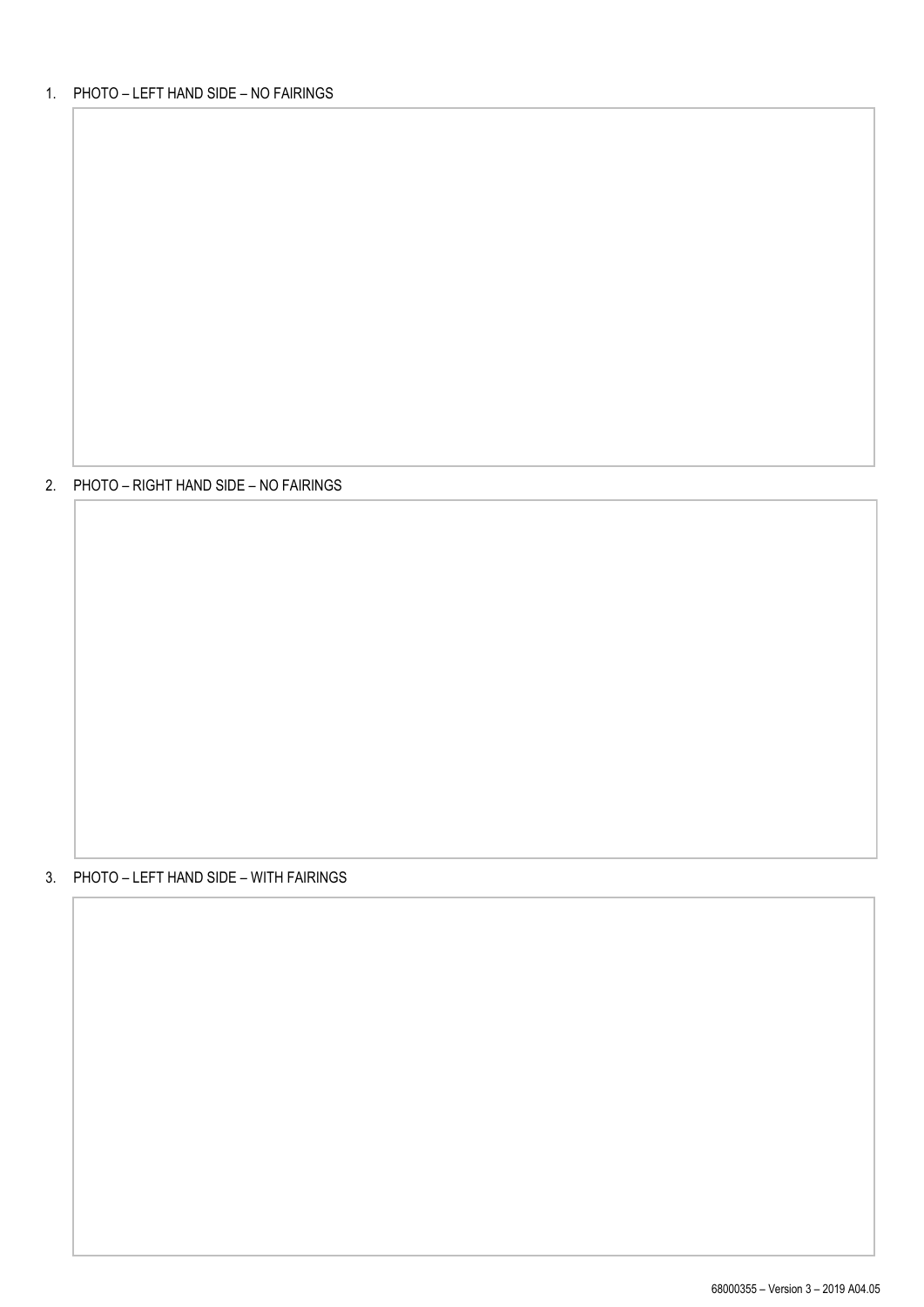## 2. PHOTO – RIGHT HAND SIDE – NO FAIRINGS

### 3. PHOTO – LEFT HAND SIDE – WITH FAIRINGS